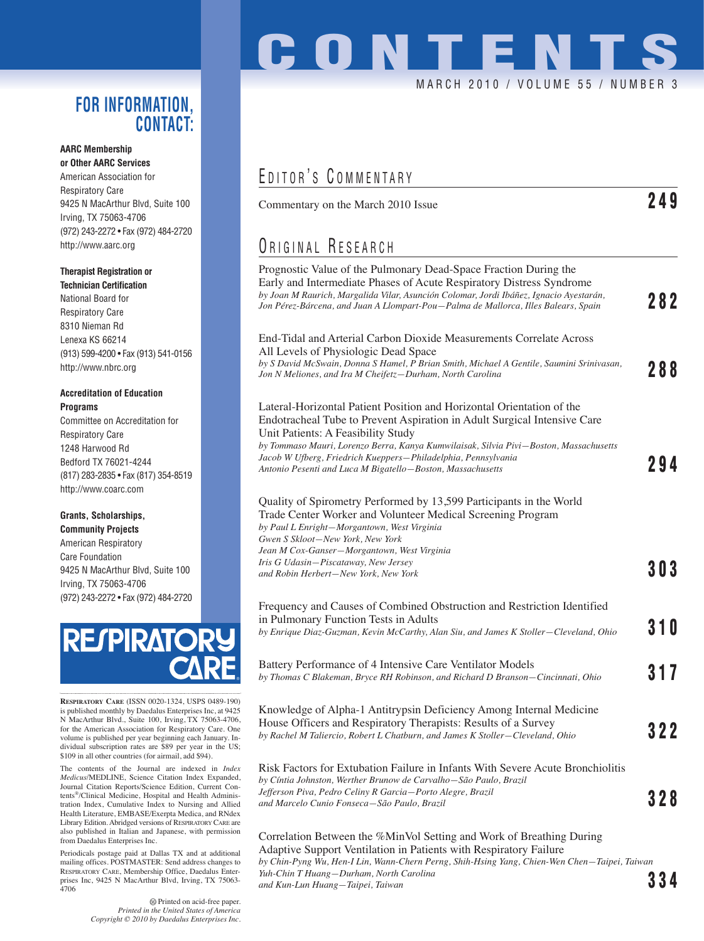### **FOR INFORMATION, CONTACT:**

#### **AARC Membership or Other AARC Services**

American Association for Respiratory Care 9425 N MacArthur Blvd, Suite 100 Irving, TX 75063-4706 (972) 243-2272 • Fax (972) 484-2720 http://www.aarc.org

#### **Therapist Registration or**

**Technician Certification** National Board for Respiratory Care 8310 Nieman Rd Lenexa KS 66214 (913) 599-4200 • Fax (913) 541-0156 http://www.nbrc.org

#### **Accreditation of Education Programs**

Committee on Accreditation for Respiratory Care 1248 Harwood Rd Bedford TX 76021-4244 (817) 283-2835 • Fax (817) 354-8519 http://www.coarc.com

#### **Grants, Scholarships,**

**Community Projects** American Respiratory Care Foundation 9425 N MacArthur Blvd, Suite 100 Irving, TX 75063-4706 (972) 243-2272 • Fax (972) 484-2720



**RESPIRATORY CARE** (ISSN 0020-1324, USPS 0489-190) is published monthly by Daedalus Enterprises Inc, at 9425 N MacArthur Blvd., Suite 100, Irving, TX 75063-4706, for the American Association for Respiratory Care. One volume is published per year beginning each January. Individual subscription rates are \$89 per year in the US; \$109 in all other countries (for airmail, add \$94).

The contents of the Journal are indexed in *Index Medicus*/MEDLINE, Science Citation Index Expanded, Journal Citation Reports/Science Edition, Current Contents®/Clinical Medicine, Hospital and Health Administration Index, Cumulative Index to Nursing and Allied Health Literature, EMBASE/Exerpta Medica, and RNdex Library Edition. Abridged versions of RESPIRATORY CARE are also published in Italian and Japanese, with permission from Daedalus Enterprises Inc.

Periodicals postage paid at Dallas TX and at additional mailing offices. POSTMASTER: Send address changes to RESPIRATORY CARE, Membership Office, Daedalus Enterprises Inc, 9425 N MacArthur Blvd, Irving, TX 75063- 4706

# **CONTENTS** MARCH 2010 / VOLUME 55 / NUMBER 3

## EDITOR'S COMMENTARY

Commentary on the March 2010 Issue **249**

## ORIGINAL RESEARCH

*Yuh-Chin T Huang—Durham, North Carolina*

| Prognostic Value of the Pulmonary Dead-Space Fraction During the<br>Early and Intermediate Phases of Acute Respiratory Distress Syndrome<br>by Joan M Raurich, Margalida Vilar, Asunción Colomar, Jordi Ibáñez, Ignacio Ayestarán,<br>Jon Pérez-Bárcena, and Juan A Llompart-Pou–Palma de Mallorca, Illes Balears, Spain                                                                                        | 282        |
|-----------------------------------------------------------------------------------------------------------------------------------------------------------------------------------------------------------------------------------------------------------------------------------------------------------------------------------------------------------------------------------------------------------------|------------|
| End-Tidal and Arterial Carbon Dioxide Measurements Correlate Across<br>All Levels of Physiologic Dead Space<br>by S David McSwain, Donna S Hamel, P Brian Smith, Michael A Gentile, Saumini Srinivasan,<br>Jon N Meliones, and Ira M Cheifetz–Durham, North Carolina                                                                                                                                            | 288        |
| Lateral-Horizontal Patient Position and Horizontal Orientation of the<br>Endotracheal Tube to Prevent Aspiration in Adult Surgical Intensive Care<br>Unit Patients: A Feasibility Study<br>by Tommaso Mauri, Lorenzo Berra, Kanya Kumwilaisak, Silvia Pivi–Boston, Massachusetts<br>Jacob W Ufberg, Friedrich Kueppers–Philadelphia, Pennsylvania<br>Antonio Pesenti and Luca M Bigatello-Boston, Massachusetts | 294        |
| Quality of Spirometry Performed by 13,599 Participants in the World<br>Trade Center Worker and Volunteer Medical Screening Program<br>by Paul L Enright-Morgantown, West Virginia<br>Gwen S Skloot-New York, New York<br>Jean M Cox-Ganser-Morgantown, West Virginia<br>Iris G Udasin-Piscataway, New Jersey<br>and Robin Herbert–New York, New York                                                            | 303        |
| Frequency and Causes of Combined Obstruction and Restriction Identified<br>in Pulmonary Function Tests in Adults<br>by Enrique Diaz-Guzman, Kevin McCarthy, Alan Siu, and James K Stoller-Cleveland, Ohio                                                                                                                                                                                                       | <b>310</b> |
| Battery Performance of 4 Intensive Care Ventilator Models<br>by Thomas C Blakeman, Bryce RH Robinson, and Richard D Branson–Cincinnati, Ohio                                                                                                                                                                                                                                                                    | 317        |
| Knowledge of Alpha-1 Antitrypsin Deficiency Among Internal Medicine<br>House Officers and Respiratory Therapists: Results of a Survey<br>by Rachel M Taliercio, Robert L Chatburn, and James K Stoller-Cleveland, Ohio                                                                                                                                                                                          | 322        |
| Risk Factors for Extubation Failure in Infants With Severe Acute Bronchiolitis<br>by Cíntia Johnston, Werther Brunow de Carvalho–São Paulo, Brazil<br>Jefferson Piva, Pedro Celiny R Garcia—Porto Alegre, Brazil<br>and Marcelo Cunio Fonseca–São Paulo, Brazil                                                                                                                                                 | 328        |
| Correlation Between the %MinVol Setting and Work of Breathing During<br>Adaptive Support Ventilation in Patients with Respiratory Failure<br>by Chin-Pyng Wu, Hen-I Lin, Wann-Chern Perng, Shih-Hsing Yang, Chien-Wen Chen–Taipei, Taiwan                                                                                                                                                                       |            |

*and Kun-Lun Huang—Taipei, Taiwan* **334**